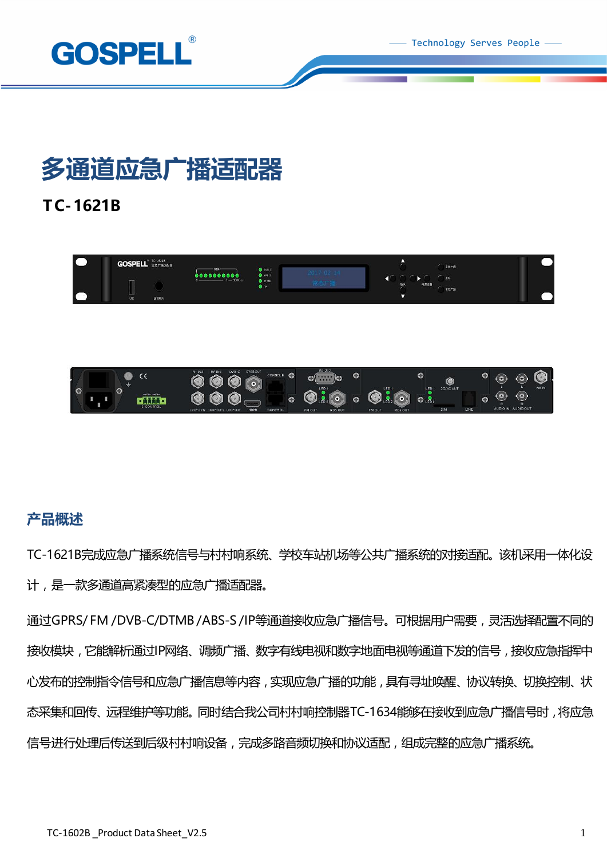Technology Serves People



# **多通道应急广播适配器**

**TC-1621B**



### **产品概述**

TC-1621B完成应急广播系统信号与村村响系统、学校车站机场等公共广播系统的对接适配。该机采用一体化设 计,是一款多通道高紧凑型的应急广播适配器。

通过GPRS/ FM /DVB-C/DTMB /ABS-S /IP等通道接收应急广播信号。可根据用户需要,灵活选择配置不同的 接收模块,它能解析通过IP网络、调频广播、数字有线电视和数字地面电视等通道下发的信号,接收应急指挥中 心发布的控制指令信号和应急广播信息等内容,实现应急广播的功能,具有寻址唤醒、协议转换、切换控制、状 态采集和回传、远程维护等功能。同时结合我公司村村响控制器TC-1634能够在接收到应急广播信号时,将应急 信号进行处理后传送到后级村村响设备,完成多路音频切换和协议适配,组成完整的应急广播系统。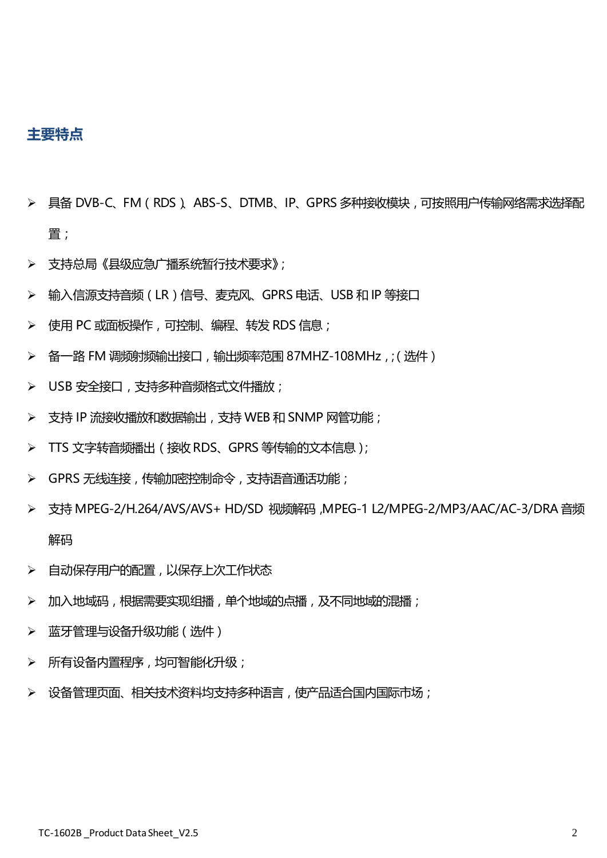### **主要特点**

- ➢ 具备 DVB-C、FM(RDS)、ABS-S、DTMB、IP、GPRS 多种接收模块,可按照用户传输网络需求选择配 置;
- ➢ 支持总局《县级应急广播系统暂行技术要求》;
- ➢ 输入信源支持音频(LR)信号、麦克风、GPRS 电话、USB 和 IP 等接口
- ➢ 使用 PC 或面板操作,可控制、编程、转发 RDS 信息;
- ➢ 备一路 FM 调频射频输出接口,输出频率范围 87MHZ-108MHz,;(选件)
- ➢ USB 安全接口,支持多种音频格式文件播放;
- ➢ 支持 IP 流接收播放和数据输出,支持 WEB 和 SNMP 网管功能;
- ➢ TTS 文字转音频播出(接收RDS、GPRS 等传输的文本信息);
- ➢ GPRS 无线连接,传输加密控制命令,支持语音通话功能;
- ➢ 支持 MPEG-2/H.264/AVS/AVS+ HD/SD 视频解码,MPEG-1 L2/MPEG-2/MP3/AAC/AC-3/DRA 音频 解码
- ➢ 自动保存用户的配置,以保存上次工作状态
- > 加入地域码,根据需要实现组播,单个地域的点播,及不同地域的混播;
- > 蓝牙管理与设备升级功能(选件)
- > 所有设备内置程序,均可智能化升级;
- > 设备管理页面、相关技术资料均支持多种语言,使产品适合国内国际市场;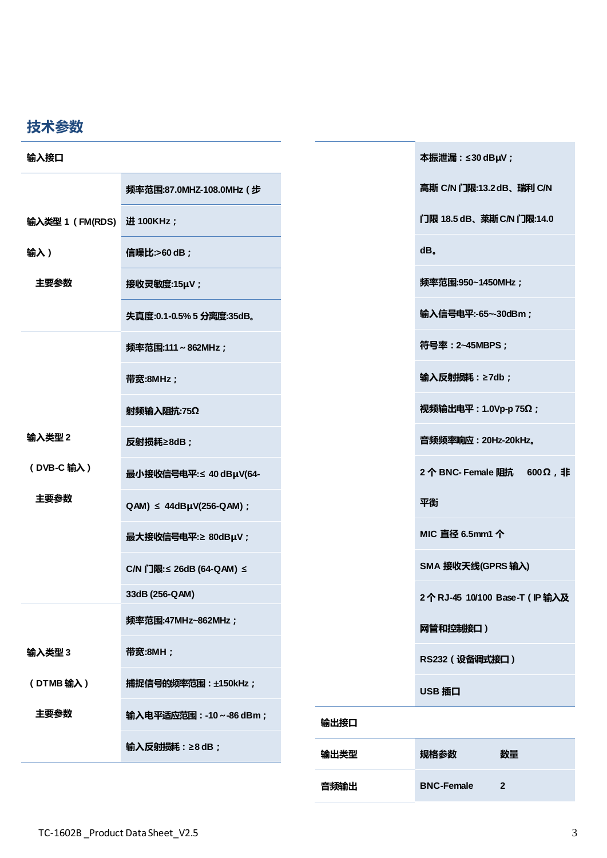## **技术参数**

| 输入接口                      |                                 |      | 本振泄漏: ≤30 dBµV;                     |
|---------------------------|---------------------------------|------|-------------------------------------|
|                           | 频率范围:87.0MHZ-108.0MHz (步        |      | 高斯 C/N 门限:13.2 dB、瑞利 C/N            |
| 输入类型 1 (FM(RDS) 进 100KHz; |                                 |      | 门限 18.5 dB、菜斯 C/N 门限:14.0           |
| 输入)                       | 信噪比:>60 dB;                     |      | dB.                                 |
| 主要参数                      | 接收灵敏度:15µV;                     |      | 频率范围:950~1450MHz;                   |
|                           | 失真度:0.1-0.5%5 分离度:35dB。         |      | 输入信号电平:-65~-30dBm;                  |
|                           | 频率范围:111~862MHz;                |      | 符号率: 2~45MBPS;                      |
|                           | 带宽:8MHz;                        |      | 输入反射损耗: ≥7db;                       |
|                           | 射频输入阻抗:75Ω                      |      | 视频输出电平: 1.0Vp-p 75Ω;                |
| 输入类型2                     | 反射损耗≥8dB;                       |      | 音频频率响应: 20Hz-20kHz。                 |
| (DVB-C 输入)                | 最小接收信号电平: ≤ 40 dBµV(64-         |      | 2个BNC-Female 阻抗 600Ω, 非             |
| 主要参数                      | $QAM$ ) $\leq$ 44dBµV(256-QAM); |      | 平衡                                  |
|                           | 最大接收信号电平:≥ 80dBµV;              |      | MIC 直径 6.5mm1 个                     |
|                           | C/N 门限:≤ 26dB (64-QAM) ≤        |      | SMA 接收天线(GPRS 输入)                   |
|                           | 33dB (256-QAM)                  |      | 2个RJ-45 10/100 Base-T (IP 输入及       |
|                           | 频率范围:47MHz~862MHz;              |      | 网管和控制接口)                            |
| 输入类型3                     | 带宽:8MH;                         |      | RS232 (设备调式接口)                      |
| (DTMB 输入)                 | 捕捉信号的频率范围 : ±150kHz ;           |      | USB 插口                              |
| 主要参数                      | 输入电平适应范围: -10~-86 dBm;          | 输出接口 |                                     |
|                           | 输入反射损耗: ≥8 dB;                  | 输出类型 | 数量<br>规格参数                          |
|                           |                                 | 音频输出 | <b>BNC-Female</b><br>$\overline{2}$ |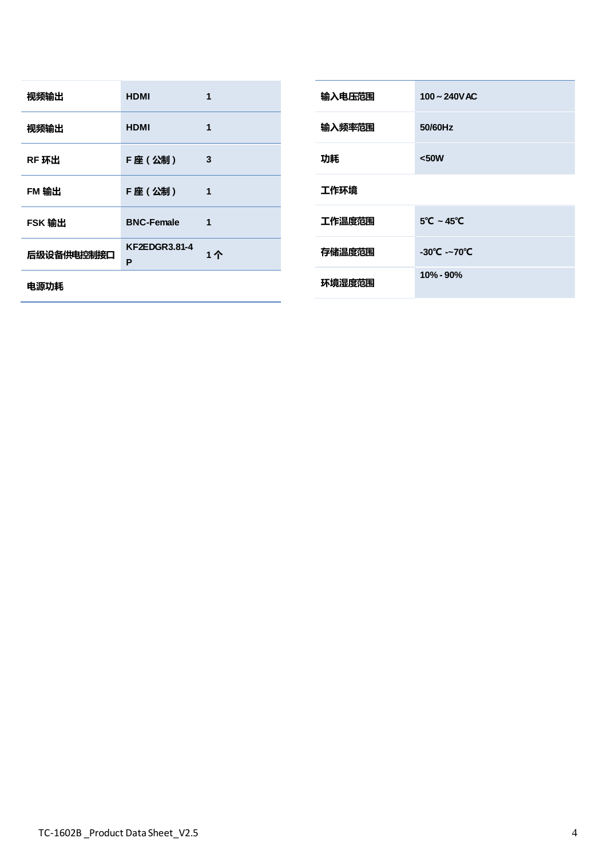| 视频输出       | <b>HDMI</b>               | 1  |  |
|------------|---------------------------|----|--|
| 视频输出       | <b>HDMI</b>               | 1  |  |
| RF 环出      | F座(公制)                    | 3  |  |
| FM 输出      | F座(公制)                    | 1  |  |
| FSK 输出     | <b>BNC-Female</b>         | 1  |  |
| 后级设备供电控制接口 | <b>KF2EDGR3.81-4</b><br>P | 1个 |  |
| 电源功耗       |                           |    |  |

| 输入电压范围 | $100 \sim 240$ V AC             |
|--------|---------------------------------|
| 输入频率范围 | 50/60Hz                         |
| 功耗     | $50W$                           |
| 工作环境   |                                 |
| 工作温度范围 | $5^{\circ}$ C ~ 45 $^{\circ}$ C |
| 存储温度范围 | $-30^{\circ}$ C $-70^{\circ}$ C |
| 环境湿度范围 | $10\% - 90\%$                   |